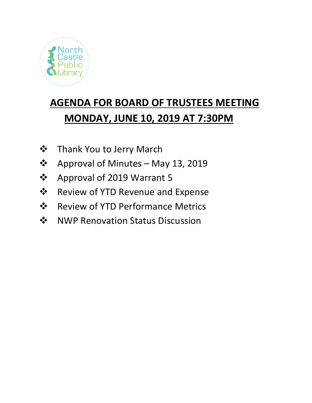

# **AGENDA FOR BOARD OF TRUSTEES MEETING MONDAY, JUNE 10, 2019 AT 7:30PM**

- **❖** Thank You to Jerry March
- ❖ Approval of Minutes May 13, 2019
- ❖ Approval of 2019 Warrant 5
- **❖** Review of YTD Revenue and Expense
- **❖** Review of YTD Performance Metrics
- ❖ NWP Renovation Status Discussion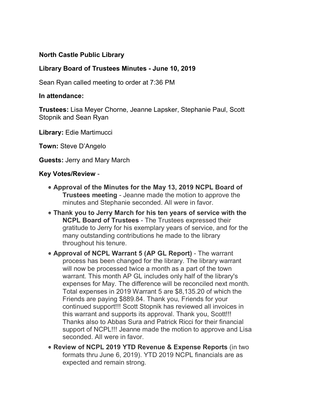## **North Castle Public Library**

### **Library Board of Trustees Minutes - June 10, 2019**

Sean Ryan called meeting to order at 7:36 PM

#### **In attendance:**

**Trustees:** Lisa Meyer Chorne, Jeanne Lapsker, Stephanie Paul, Scott Stopnik and Sean Ryan

**Library:** Edie Martimucci

**Town:** Steve D'Angelo

**Guests:** Jerry and Mary March

#### **Key Votes/Review** -

- **Approval of the Minutes for the May 13, 2019 NCPL Board of Trustees meeting** - Jeanne made the motion to approve the minutes and Stephanie seconded. All were in favor.
- **Thank you to Jerry March for his ten years of service with the NCPL Board of Trustees** - The Trustees expressed their gratitude to Jerry for his exemplary years of service, and for the many outstanding contributions he made to the library throughout his tenure.
- **Approval of NCPL Warrant 5 (AP GL Report)** The warrant process has been changed for the library. The library warrant will now be processed twice a month as a part of the town warrant. This month AP GL includes only half of the library's expenses for May. The difference will be reconciled next month. Total expenses in 2019 Warrant 5 are \$8,135.20 of which the Friends are paying \$889.84. Thank you, Friends for your continued support!!! Scott Stopnik has reviewed all invoices in this warrant and supports its approval. Thank you, Scott!!! Thanks also to Abbas Sura and Patrick Ricci for their financial support of NCPL!!! Jeanne made the motion to approve and Lisa seconded. All were in favor.
- **Review of NCPL 2019 YTD Revenue & Expense Reports** (in two formats thru June 6, 2019). YTD 2019 NCPL financials are as expected and remain strong.